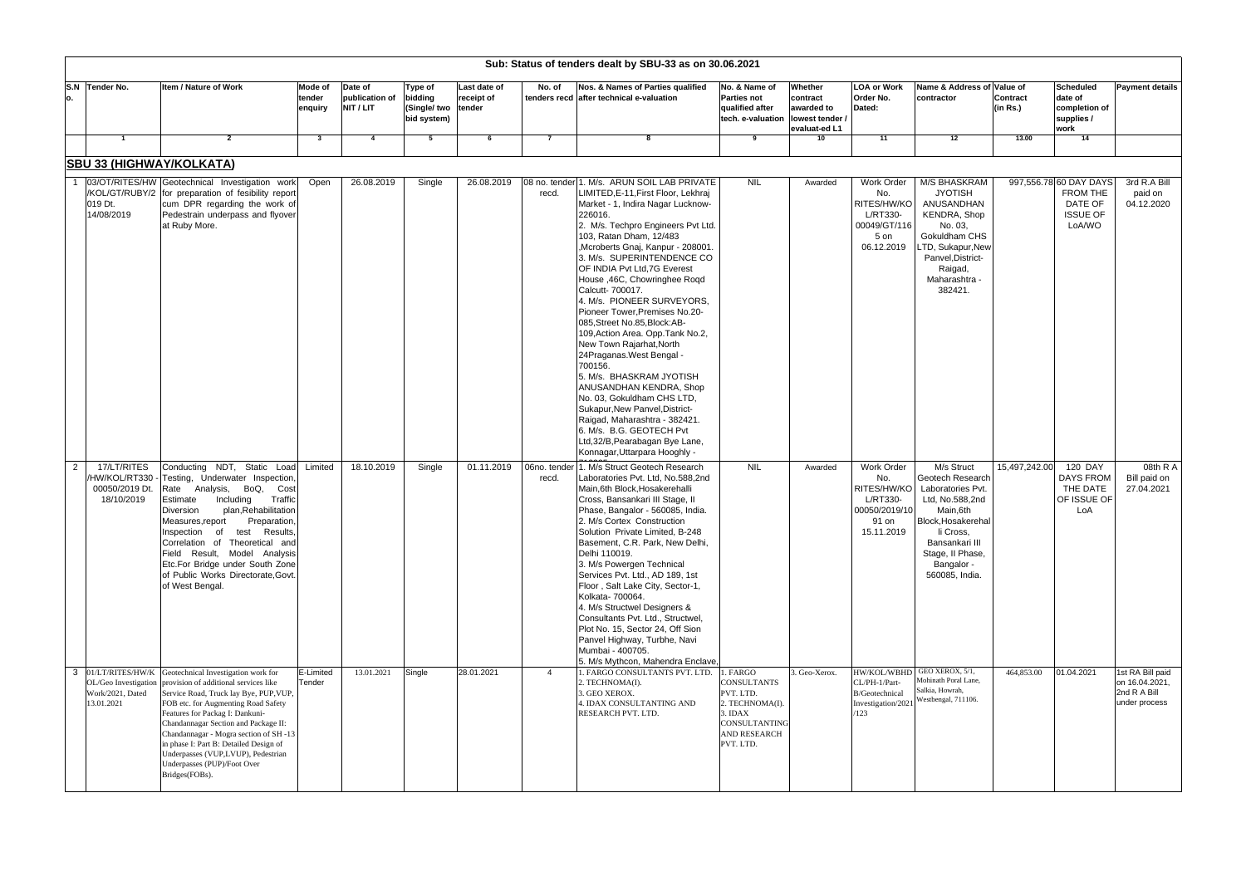| Sub: Status of tenders dealt by SBU-33 as on 30.06.2021 |                                                                            |                                                                                                                                                                                                                                                                                                                                                                                                                     |                              |                                        |                                                          |                            |                       |                                                                                                                                                                                                                                                                                                                                                                                                                                                                                                                                                                                                                                                                                                                                                                                                                             |                                                                                                                                       |                                                                       |                                                                                      |                                                                                                                                                                                             |                             |                                                                            |                                                                     |
|---------------------------------------------------------|----------------------------------------------------------------------------|---------------------------------------------------------------------------------------------------------------------------------------------------------------------------------------------------------------------------------------------------------------------------------------------------------------------------------------------------------------------------------------------------------------------|------------------------------|----------------------------------------|----------------------------------------------------------|----------------------------|-----------------------|-----------------------------------------------------------------------------------------------------------------------------------------------------------------------------------------------------------------------------------------------------------------------------------------------------------------------------------------------------------------------------------------------------------------------------------------------------------------------------------------------------------------------------------------------------------------------------------------------------------------------------------------------------------------------------------------------------------------------------------------------------------------------------------------------------------------------------|---------------------------------------------------------------------------------------------------------------------------------------|-----------------------------------------------------------------------|--------------------------------------------------------------------------------------|---------------------------------------------------------------------------------------------------------------------------------------------------------------------------------------------|-----------------------------|----------------------------------------------------------------------------|---------------------------------------------------------------------|
| S.N<br>о.                                               | Tender No.                                                                 | Item / Nature of Work                                                                                                                                                                                                                                                                                                                                                                                               | Mode of<br>tender<br>enquiry | Date of<br>publication of<br>NIT / LIT | Type of<br>bidding<br>(Single/ two tender<br>bid system) | Last date of<br>receipt of | No. of                | Nos. & Names of Parties qualified<br>tenders recd after technical e-valuation                                                                                                                                                                                                                                                                                                                                                                                                                                                                                                                                                                                                                                                                                                                                               | No. & Name of<br><b>Parties not</b><br>qualified after<br>tech. e-valuation                                                           | Whether<br>contract<br>awarded to<br>lowest tender /<br>evaluat-ed L1 | <b>LOA or Work</b><br>Order No.<br>Dated:                                            | Name & Address of Value of<br>contractor                                                                                                                                                    | <b>Contract</b><br>(in Rs.) | <b>Scheduled</b><br>date of<br>completion of<br>supplies /<br>work         | <b>Payment details</b>                                              |
|                                                         | $\overline{\mathbf{1}}$                                                    | $\mathbf{2}$                                                                                                                                                                                                                                                                                                                                                                                                        | $\mathbf{3}$                 | 4                                      | -5                                                       | - 6                        | -7                    |                                                                                                                                                                                                                                                                                                                                                                                                                                                                                                                                                                                                                                                                                                                                                                                                                             | 9                                                                                                                                     | 10                                                                    | 11                                                                                   | 12                                                                                                                                                                                          | 13.00                       | 14                                                                         |                                                                     |
|                                                         | <b>SBU 33 (HIGHWAY/KOLKATA)</b>                                            |                                                                                                                                                                                                                                                                                                                                                                                                                     |                              |                                        |                                                          |                            |                       |                                                                                                                                                                                                                                                                                                                                                                                                                                                                                                                                                                                                                                                                                                                                                                                                                             |                                                                                                                                       |                                                                       |                                                                                      |                                                                                                                                                                                             |                             |                                                                            |                                                                     |
|                                                         | 019 Dt.<br>14/08/2019                                                      | 03/OT/RITES/HW Geotechnical Investigation work<br>/KOL/GT/RUBY/2 for preparation of fesibility report<br>cum DPR regarding the work of<br>Pedestrain underpass and flyover<br>at Ruby More.                                                                                                                                                                                                                         | Open                         | 26.08.2019                             | Single                                                   | 26.08.2019                 | recd.                 | 08 no. tender 1. M/s. ARUN SOIL LAB PRIVATE<br>LIMITED, E-11, First Floor, Lekhraj<br>Market - 1, Indira Nagar Lucknow-<br>226016.<br>2. M/s. Techpro Engineers Pvt Ltd.<br>103, Ratan Dham, 12/483<br>,Mcroberts Gnaj, Kanpur - 208001<br>3. M/s. SUPERINTENDENCE CO<br>OF INDIA Pvt Ltd, 7G Everest<br>House , 46C, Chowringhee Roqd<br>Calcutt- 700017.<br>4. M/s. PIONEER SURVEYORS,<br>Pioneer Tower, Premises No.20-<br>085, Street No.85, Block: AB-<br>109, Action Area. Opp. Tank No.2,<br>New Town Rajarhat, North<br>24Praganas.West Bengal -<br>700156.<br>5. M/s. BHASKRAM JYOTISH<br>ANUSANDHAN KENDRA, Shop<br>No. 03, Gokuldham CHS LTD,<br>Sukapur, New Panvel, District-<br>Raigad, Maharashtra - 382421.<br>6. M/s. B.G. GEOTECH Pvt<br>Ltd, 32/B, Pearabagan Bye Lane,<br>Konnagar, Uttarpara Hooghly - | <b>NIL</b>                                                                                                                            | Awarded                                                               | Work Order<br>No.<br>RITES/HW/KO<br>L/RT330-<br>00049/GT/116<br>5 on<br>06.12.2019   | M/S BHASKRAM<br><b>JYOTISH</b><br>ANUSANDHAN<br>KENDRA, Shop<br>No. 03,<br>Gokuldham CHS<br>LTD, Sukapur, New<br>Panvel, District-<br>Raigad,<br>Maharashtra<br>382421.                     |                             | 997,556.78 60 DAY DAYS<br>FROM THE<br>DATE OF<br><b>ISSUE OF</b><br>LoA/WO | 3rd R.A Bill<br>paid on<br>04.12.2020                               |
| 2                                                       | 17/LT/RITES<br>/HW/KOL/RT330<br>00050/2019 Dt.<br>18/10/2019               | Conducting NDT, Static Load<br>Testing, Underwater Inspection<br>BoQ,<br>Rate<br>Analysis,<br>Cost<br>Traffic<br>Estimate<br>Including<br>plan, Rehabilitation<br>Diversion<br>Measures, report<br>Preparation<br>Inspection of<br>Results,<br>test<br>Correlation of Theoretical and<br>Field Result, Model Analysis<br>Etc.For Bridge under South Zone<br>of Public Works Directorate, Govt.<br>of West Bengal.   | Limited                      | 18.10.2019                             | Single                                                   | 01.11.2019                 | 06no. tender<br>recd. | 1. M/s Struct Geotech Research<br>Laboratories Pvt. Ltd, No.588,2nd<br>Main, 6th Block, Hosakerehalli<br>Cross, Bansankari III Stage, II<br>Phase, Bangalor - 560085, India.<br>2. M/s Cortex Construction<br>Solution Private Limited, B-248<br>Basement, C.R. Park, New Delhi,<br>Delhi 110019.<br>3. M/s Powergen Technical<br>Services Pvt. Ltd., AD 189, 1st<br>Floor, Salt Lake City, Sector-1,<br>Kolkata- 700064.<br>4. M/s Structwel Designers &<br>Consultants Pvt. Ltd., Structwel,<br>Plot No. 15. Sector 24. Off Sion<br>Panvel Highway, Turbhe, Navi<br>Mumbai - 400705.<br>5. M/s Mythcon, Mahendra Enclave,                                                                                                                                                                                                 | <b>NIL</b>                                                                                                                            | Awarded                                                               | Work Order<br>No.<br>RITES/HW/KO<br>L/RT330-<br>00050/2019/10<br>91 on<br>15.11.2019 | M/s Struct<br>Geotech Research<br>Laboratories Pvt.<br>Ltd, No.588,2nd<br>Main,6th<br>Block, Hosakerehal<br>li Cross,<br>Bansankari III<br>Stage, II Phase,<br>Bangalor -<br>560085, India. | 15,497,242.00               | 120 DAY<br>DAYS FROM<br>THE DATE<br>OF ISSUE OF<br>LoA                     | 08th $R$ A<br>Bill paid on<br>27.04.2021                            |
| 3                                                       | 01/LT/RITES/HW/K<br>OL/Geo Investigation<br>Work/2021, Dated<br>13.01.2021 | Geotechnical Investigation work for<br>provision of additional services like<br>Service Road, Truck lay Bye, PUP, VUP,<br>FOB etc. for Augmenting Road Safety<br>Features for Packag I: Dankuni-<br>Chandannagar Section and Package II:<br>Chandannagar - Mogra section of SH -13<br>in phase I: Part B: Detailed Design of<br>Underpasses (VUP,LVUP), Pedestrian<br>Underpasses (PUP)/Foot Over<br>Bridges(FOBs). | E-Limited<br>Tender          | 13.01.2021                             | Single                                                   | 28.01.2021                 | $\overline{4}$        | 1. FARGO CONSULTANTS PVT. LTD.<br>2. TECHNOMA(I).<br>3. GEO XEROX.<br>4. IDAX CONSULTANTING AND<br>RESEARCH PVT. LTD.                                                                                                                                                                                                                                                                                                                                                                                                                                                                                                                                                                                                                                                                                                       | 1. FARGO<br><b>CONSULTANTS</b><br>PVT. LTD.<br>2. TECHNOMA(I).<br>3. IDAX<br><b>CONSULTANTING</b><br><b>AND RESEARCH</b><br>PVT. LTD. | 3. Geo-Xerox                                                          | HW/KOL/WBHD<br>CL/PH-1/Part-<br>B/Geotechnical<br>Investigation/2021<br>/123         | GEO XEROX, 5/1,<br>Mohinath Poral Lane,<br>Salkia, Howrah,<br>Westbengal, 711106.                                                                                                           | 464,853.00                  | 01.04.2021                                                                 | 1st RA Bill paid<br>on 16.04.2021,<br>2nd R A Bill<br>under process |